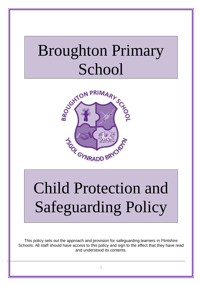## Broughton Primary School



# Child Protection and Safeguarding Policy

This policy sets out the approach and provision for safeguarding learners in Flintshire Schools. All staff should have access to this policy and sign to the effect that they have read and understood its contents.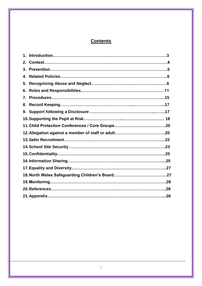## **Contents**

| 3. |  |
|----|--|
| 4. |  |
| 5. |  |
| 6. |  |
| 7. |  |
| 8. |  |
|    |  |
|    |  |
|    |  |
|    |  |
|    |  |
|    |  |
|    |  |
|    |  |
|    |  |
|    |  |
|    |  |
|    |  |
|    |  |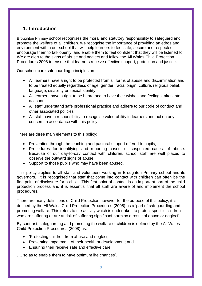## **1. Introduction**

Broughton Primary school recognises the moral and statutory responsibility to safeguard and promote the welfare of all children. We recognise the importance of providing an ethos and environment within our school that will help learners to feel safe, secure and respected; encourage them to talk openly; and enable them to feel confident that they will be listened to. We are alert to the signs of abuse and neglect and follow the All Wales Child Protection Procedures 2008 to ensure that learners receive effective support, protection and justice.

Our school core safeguarding principles are:

- All learners have a right to be protected from all forms of abuse and discrimination and to be treated equally regardless of age, gender, racial origin, culture, religious belief, language, disability or sexual identity
- All learners have a right to be heard and to have their wishes and feelings taken into account
- All staff understand safe professional practice and adhere to our code of conduct and other associated policies
- All staff have a responsibility to recognise vulnerability in learners and act on any concern in accordance with this policy.

There are three main elements to this policy:

- Prevention through the teaching and pastoral support offered to pupils;
- Procedures for identifying and reporting cases, or suspected cases, of abuse. Because of our day-to-day contact with children, school staff are well placed to observe the outward signs of abuse:
- Support to those pupils who may have been abused.

This policy applies to all staff and volunteers working in Broughton Primary school and its governors. It is recognised that staff that come into contact with children can often be the first point of disclosure for a child. This first point of contact is an important part of the child protection process and it is essential that all staff are aware of and implement the school procedures.

There are many definitions of Child Protection however for the purpose of this policy, it is defined by the All Wales Child Protection Procedures (2008) as a 'part of safeguarding and promoting welfare. This refers to the activity which is undertaken to protect specific children who are suffering or are at risk of suffering significant harm as a result of abuse or neglect'.

By contrast, safeguarding and promoting the welfare of children is defined by the All Wales Child Protection Procedures (2008) as:

- 'Protecting children from abuse and neglect;
- Preventing impairment of their health or development; and
- Ensuring their receive safe and effective care;

…. so as to enable them to have optimum life chances'.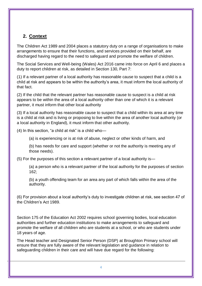## **2. Context**

The Children Act 1989 and 2004 places a statutory duty on a range of organisations to make arrangements to ensure that their functions, and services provided on their behalf, are discharged having regard to the need to safeguard and promote the welfare of children.

The Social Services and Well-being (Wales) Act 2016 came into force on April 6 and places a duty to report children at risk, as detailed in Section 130, Part 7:

(1) If a relevant partner of a local authority has reasonable cause to suspect that a child is a child at risk and appears to be within the authority's area, it must inform the local authority of that fact.

(2) If the child that the relevant partner has reasonable cause to suspect is a child at risk appears to be within the area of a local authority other than one of which it is a relevant partner, it must inform that other local authority

(3) If a local authority has reasonable cause to suspect that a child within its area at any time is a child at risk and is living or proposing to live within the area of another local authority (or a local authority in England), it must inform that other authority.

(4) In this section, "a child at risk" is a child who—

(a) is experiencing or is at risk of abuse, neglect or other kinds of harm, and

(b) has needs for care and support (whether or not the authority is meeting any of those needs).

(5) For the purposes of this section a relevant partner of a local authority is—

(a) a person who is a relevant partner of the local authority for the purposes of section 162;

(b) a youth offending team for an area any part of which falls within the area of the authority.

(6) For provision about a local authority's duty to investigate children at risk, see section 47 of the Children's Act 1989.

Section 175 of the Education Act 2002 requires school governing bodies, local education authorities and further education institutions to make arrangements to safeguard and promote the welfare of all children who are students at a school, or who are students under 18 years of age.

The Head teacher and Designated Senior Person (DSP) at Broughton Primary school will ensure that they are fully aware of the relevant legislation and guidance in relation to safeguarding children in their care and will have due regard for the following: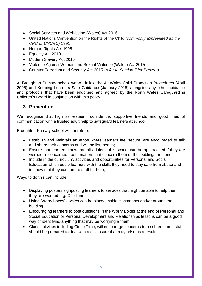- Social Services and Well-being (Wales) Act 2016
- United Nations Convention on the Rights of the Child *(commonly abbreviated as the CRC or UNCRC)* 1991
- Human Rights Act 1998
- **Equality Act 2010**
- Modern Slavery Act 2015
- Violence Against Women and Sexual Violence (Wales) Act 2015
- Counter Terrorism and Security Act 2015 (*refer to Section 7 for Prevent)*

At Broughton Primary school we will follow the All Wales Child Protection Procedures (April 2008) and Keeping Learners Safe Guidance (January 2015) alongside any other guidance and protocols that have been endorsed and agreed by the North Wales Safeguarding Children's Board in conjunction with this policy.

## **3. Prevention**

We recognise that high self-esteem, confidence, supportive friends and good lines of communication with a trusted adult help to safeguard learners at school.

Broughton Primary school will therefore:

- Establish and maintain an ethos where learners feel secure, are encouraged to talk and share their concerns and will be listened to;
- Ensure that learners know that all adults in this school can be approached if they are worried or concerned about matters that concern them or their siblings or friends;
- Include in the curriculum, activities and opportunities for Personal and Social Education which equip learners with the skills they need to stay safe from abuse and to know that they can turn to staff for help;

Ways to do this can include:

- Displaying posters signposting learners to services that might be able to help them if they are worried e.g. ChildLine
- Using 'Worry boxes' which can be placed inside classrooms and/or around the building
- Encouraging learners to post questions in the Worry Boxes at the end of Personal and Social Education or Personal Development and Relationships lessons can be a good way of identifying anything that may be worrying a them
- Class activities including Circle Time, will encourage concerns to be shared, and staff should be prepared to deal with a disclosure that may arise as a result.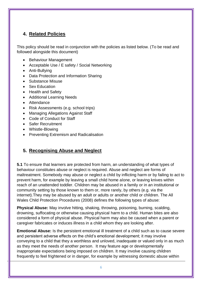## **4. Related Policies**

This policy should be read in conjunction with the policies as listed below. (To be read and followed alongside this document)

- Behaviour Management
- Acceptable Use / E safety / Social Networking
- Anti-Bullying
- Data Protection and Information Sharing
- Substance Misuse
- Sex Education
- Health and Safety
- Additional Learning Needs
- Attendance
- Risk Assessments (e.g. school trips)
- Managing Allegations Against Staff
- Code of Conduct for Staff
- Safer Recruitment
- Whistle-Blowing
- Preventing Extremism and Radicalisation

## **5. Recognising Abuse and Neglect**

**5.1** To ensure that learners are protected from harm, an understanding of what types of behaviour constitutes abuse or neglect is required. Abuse and neglect are forms of maltreatment. Somebody may abuse or neglect a child by inflicting harm or by failing to act to prevent harm, for example by leaving a small child home alone, or leaving knives within reach of an unattended toddler. Children may be abused in a family or in an institutional or community setting by those known to them or, more rarely, by others (e.g. via the internet).They may be abused by an adult or adults or another child or children. The All Wales Child Protection Procedures (2008) defines the following types of abuse:

**Physical Abuse:** May involve hitting, shaking, throwing, poisoning, burning, scalding, drowning, suffocating or otherwise causing physical harm to a child. Human bites are also considered a form of physical abuse. Physical harm may also be caused when a parent or caregiver fabricates or induces illness in a child whom they are looking after.

**Emotional Abuse:** Is the persistent emotional ill treatment of a child such as to cause severe and persistent adverse effects on the child's emotional development; it may involve conveying to a child that they a worthless and unloved, inadequate or valued only in as much as they meet the needs of another person. It may feature age or developmentally inappropriate expectations being imposed on children. It may involve causing children frequently to feel frightened or in danger, for example by witnessing domestic abuse within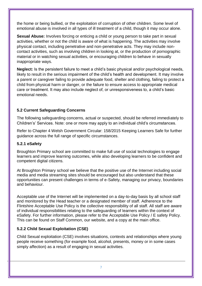the home or being bullied, or the exploitation of corruption of other children. Some level of emotional abuse is involved in all types of ill treatment of a child, though it may occur alone.

**Sexual Abuse:** Involves forcing or enticing a child or young person to take part in sexual activities, whether or not the child is aware of what is happening. The activities may involve physical contact, including penetrative and non-penetrative acts. They may include noncontact activities, such as involving children in looking at, or the production of pornographic material or in watching sexual activities, or encouraging children to behave in sexually inappropriate ways.

**Neglect:** Is the persistent failure to meet a child's basic physical and/or psychological needs, likely to result in the serious impairment of the child's health and development. It may involve a parent or caregiver failing to provide adequate food, shelter and clothing, failing to protect a child from physical harm or danger, or the failure to ensure access to appropriate medical care or treatment. It may also include neglect of, or unresponsiveness to, a child's basic emotional needs.

#### **5.2 Current Safeguarding Concerns**

The following safeguarding concerns, actual or suspected, should be referred immediately to Children's' Services. Note: one or more may apply to an individual child's circumstances.

Refer to Chapter 4 Welsh Government Circular: 158/2015 Keeping Learners Safe for further guidance across the full range of specific circumstances.

#### **5.2.1 eSafety**

Broughton Primary school are committed to make full use of social technologies to engage learners and improve learning outcomes, while also developing learners to be confident and competent digital citizens.

At Broughton Primary school we believe that the positive use of the Internet including social media and media streaming sites should be encouraged but also understand that these opportunities can present challenges in terms of e-Safety, managing our privacy, boundaries and behaviour.

Acceptable use of the Internet will be implemented on a day-to-day basis by all school staff and monitored by the Head teacher or a designated member of staff. Adherence to the Flintshire Acceptable Use Policy is the collective responsibility of all staff. All staff are aware of individual responsibilities relating to the safeguarding of learners within the context of eSafety. For further information, please refer to the Acceptable Use Policy / E safety Policy. This can be found on Staff Common, our website, and a copy at the main office.

#### **5.2.2 Child Sexual Exploitation (CSE)**

Child Sexual exploitation (CSE) involves situations, contexts and relationships where young people receive something (for example food, alcohol, presents, money or in some cases simply affection) as a result of engaging in sexual activities.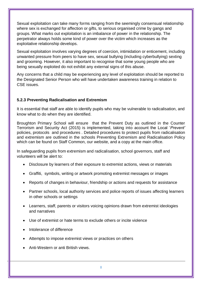Sexual exploitation can take many forms ranging from the seemingly consensual relationship where sex is exchanged for affection or gifts, to serious organised crime by gangs and groups. What marks out exploitation is an imbalance of power in the relationship. The perpetrator always holds some kind of power over the victim which increases as the exploitative relationship develops.

Sexual exploitation involves varying degrees of coercion, intimidation or enticement, including unwanted pressure from peers to have sex, sexual bullying (including cyberbullying) sexting and grooming. However, it also important to recognise that some young people who are being sexually exploited do not exhibit any external signs of this abuse.

Any concerns that a child may be experiencing any level of exploitation should be reported to the Designated Senior Person who will have undertaken awareness training in relation to CSE issues.

#### **5.2.3 Preventing Radicalisation and Extremism**

It is essential that staff are able to identify pupils who may be vulnerable to radicalisation, and know what to do when they are identified.

Broughton Primary School will ensure that the Prevent Duty as outlined in the Counter Terrorism and Security Act (2015) is implemented, taking into account the Local '*Prevent'*  policies, protocols and procedures . Detailed procedures to protect pupils from radicalisation and extremism are outlined in the schools Preventing Extremism and Radicalisation Policy which can be found on Staff Common, our website, and a copy at the main office.

In safeguarding pupils from extremism and radicalisation, school governors, staff and volunteers will be alert to:

- Disclosure by learners of their exposure to extremist actions, views or materials
- Graffiti, symbols, writing or artwork promoting extremist messages or images
- Reports of changes in behaviour, friendship or actions and requests for assistance
- Partner schools, local authority services and police reports of issues affecting learners in other schools or settings
- Learners, staff, parents or visitors voicing opinions drawn from extremist ideologies and narratives
- Use of extremist or hate terms to exclude others or incite violence
- Intolerance of difference
- Attempts to impose extremist views or practices on others
- Anti-Western or anti British views.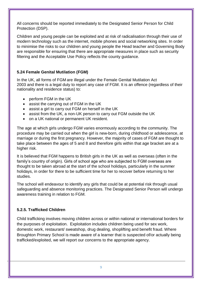All concerns should be reported immediately to the Designated Senior Person for Child Protection (DSP).

Children and young people can be exploited and at risk of radicalisation through their use of modern technology such as the internet, mobile phones and social networking sites. In order to minimise the risks to our children and young people the Head teacher and Governing Body are responsible for ensuring that there are appropriate measures in place such as security filtering and the Acceptable Use Policy reflects the county guidance.

#### **5.24 Female Genital Mutilation (FGM)**

In the UK, all forms of FGM are illegal under the Female Genital Mutilation Act 2003 and there is a legal duty to report any case of FGM. It is an offence (regardless of their nationality and residence status) to:

- perform FGM in the UK
- assist the carrying out of FGM in the UK
- assist a girl to carry out FGM on herself in the UK
- assist from the UK, a non-UK person to carry out FGM outside the UK
- on a UK national or permanent UK resident.

The age at which girls undergo FGM varies enormously according to the community. The procedure may be carried out when the girl is new-born, during childhood or adolescence, at marriage or during the first pregnancy. However, the majority of cases of FGM are thought to take place between the ages of 5 and 8 and therefore girls within that age bracket are at a higher risk.

It is believed that FGM happens to British girls in the UK as well as overseas (often in the family's country of origin). Girls of school age who are subjected to FGM overseas are thought to be taken abroad at the start of the school holidays, particularly in the summer holidays, in order for there to be sufficient time for her to recover before returning to her studies.

The school will endeavour to identify any girls that could be at potential risk through usual safeguarding and absence monitoring practices. The Designated Senior Person will undergo awareness training in relation to FGM.

#### **5.2.5. Trafficked Children**

Child trafficking involves moving children across or within national or international borders for the purposes of exploitation. Exploitation includes children being used for sex work, domestic work, restaurant/ sweatshop, drug dealing, shoplifting and benefit fraud. Where Broughton Primary School is made aware of a learner that is suspected of/or actually being trafficked/exploited, we will report our concerns to the appropriate agency.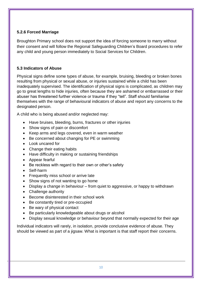#### **5.2.6 Forced Marriage**

Broughton Primary school does not support the idea of forcing someone to marry without their consent and will follow the Regional Safeguarding Children's Board procedures to refer any child and young person immediately to Social Services for Children.

#### **5.3 Indicators of Abuse**

Physical signs define some types of abuse, for example, bruising, bleeding or broken bones resulting from physical or sexual abuse, or injuries sustained while a child has been inadequately supervised. The identification of physical signs is complicated, as children may go to great lengths to hide injuries, often because they are ashamed or embarrassed or their abuser has threatened further violence or trauma if they "tell". Staff should familiarise themselves with the range of behavioural indicators of abuse and report any concerns to the designated person.

A child who is being abused and/or neglected may:

- Have bruises, bleeding, burns, fractures or other injuries
- Show signs of pain or discomfort
- Keep arms and legs covered, even in warm weather
- Be concerned about changing for PE or swimming
- Look uncared for
- Change their eating habits
- Have difficulty in making or sustaining friendships
- Appear fearful
- Be reckless with regard to their own or other's safety
- Self-harm
- Frequently miss school or arrive late
- Show signs of not wanting to go home
- Display a change in behaviour from quiet to aggressive, or happy to withdrawn
- Challenge authority
- Become disinterested in their school work
- Be constantly tired or pre-occupied
- Be wary of physical contact
- Be particularly knowledgeable about drugs or alcohol
- Display sexual knowledge or behaviour beyond that normally expected for their age

Individual indicators will rarely, in isolation, provide conclusive evidence of abuse. They should be viewed as part of a jigsaw. What is important is that staff report their concerns.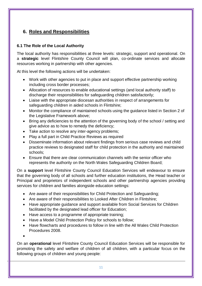## **6. Roles and Responsibilities**

#### **6.1 The Role of the Local Authority**

The local authority has responsibilities at three levels: strategic, support and operational. On a **strategic** level Flintshire County Council will plan, co-ordinate services and allocate resources working in partnership with other agencies.

At this level the following actions will be undertaken:

- Work with other agencies to put in place and support effective partnership working including cross border processes;
- Allocation of resources to enable educational settings (and local authority staff) to discharge their responsibilities for safeguarding children satisfactorily;
- Liaise with the appropriate diocesan authorities in respect of arrangements for safeguarding children in aided schools in Flintshire;
- Monitor the compliance of maintained schools using the quidance listed in Section 2 of the Legislative Framework above;
- Bring any deficiencies to the attention of the governing body of the school / setting and give advice as to how to remedy the deficiency;
- Take action to resolve any inter-agency problems;
- Play a full part in Child Practice Reviews as required
- Disseminate information about relevant findings from serious case reviews and child practice reviews to designated staff for child protection in the authority and maintained schools;
- Ensure that there are clear communication channels with the senior officer who represents the authority on the North Wales Safeguarding Children Board;

On a **support** level Flintshire County Council Education Services will endeavour to ensure that the governing body of all schools and further education institutions, the Head teacher or Principal and proprietors of independent schools and other partnership agencies providing services for children and families alongside education settings:

- Are aware of their responsibilities for Child Protection and Safeguarding;
- Are aware of their responsibilities to Looked After Children in Flintshire;
- Have appropriate guidance and support available from Social Services for Children facilitated by the designated lead officer for Education;
- Have access to a programme of appropriate training;
- Have a Model Child Protection Policy for schools to follow;
- Have flowcharts and procedures to follow in line with the All Wales Child Protection Procedures 2008.

 $\bullet$ 

On an **operational** level Flintshire County Council Education Services will be responsible for promoting the safety and welfare of children of all children, with a particular focus on the following groups of children and young people: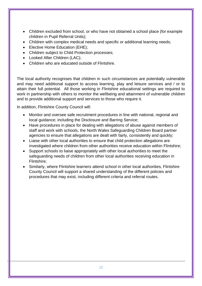- Children excluded from school, or who have not obtained a school place (for example children in Pupil Referral Units);
- Children with complex medical needs and specific or additional learning needs;
- Elective Home Education (EHE);
- Children subject to Child Protection processes;
- Looked After Children (LAC):
- Children who are educated outside of Flintshire.

The local authority recognises that children in such circumstances are potentially vulnerable and may need additional support to access learning, play and leisure services and / or to attain their full potential. All those working in Flintshire educational settings are required to work in partnership with others to monitor the wellbeing and attainment of vulnerable children and to provide additional support and services to those who require it.

In addition, Flintshire County Council will:

- Monitor and oversee safe recruitment procedures in line with national, regional and local guidance; including the Disclosure and Barring Service;
- Have procedures in place for dealing with allegations of abuse against members of staff and work with schools, the North Wales Safeguarding Children Board partner agencies to ensure that allegations are dealt with fairly, consistently and quickly;
- Liaise with other local authorities to ensure that child protection allegations are investigated where children from other authorities receive education within Flintshire;
- Support schools to liaise appropriately with other local authorities to meet the safeguarding needs of children from other local authorities receiving education in Flintshire;
- Similarly, where Flintshire learners attend school in other local authorities, Flintshire County Council will support a shared understanding of the different policies and procedures that may exist, including different criteria and referral routes.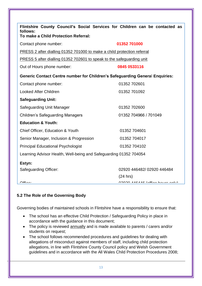| Flintshire County Council's Social Services for Children can be contacted as<br>follows:<br>To make a Child Protection Referral: |                           |  |  |  |  |  |  |  |
|----------------------------------------------------------------------------------------------------------------------------------|---------------------------|--|--|--|--|--|--|--|
| 01352 701000<br>Contact phone number:                                                                                            |                           |  |  |  |  |  |  |  |
| PRESS 2 after dialling 01352 701000 to make a child protection referral                                                          |                           |  |  |  |  |  |  |  |
| PRESS 5 after dialling 01352 702601 to speak to the safeguarding unit                                                            |                           |  |  |  |  |  |  |  |
| 0845 0533116<br>Out of Hours phone number:                                                                                       |                           |  |  |  |  |  |  |  |
| <b>Generic Contact Centre number for Children's Safeguarding General Enquiries:</b>                                              |                           |  |  |  |  |  |  |  |
| Contact phone number:                                                                                                            | 01352 702601              |  |  |  |  |  |  |  |
| <b>Looked After Children</b>                                                                                                     | 01352 701092              |  |  |  |  |  |  |  |
| <b>Safeguarding Unit:</b>                                                                                                        |                           |  |  |  |  |  |  |  |
| Safeguarding Unit Manager                                                                                                        | 01352 702600              |  |  |  |  |  |  |  |
| <b>Children's Safeguarding Managers</b>                                                                                          | 01352 704966 / 701049     |  |  |  |  |  |  |  |
| <b>Education &amp; Youth:</b>                                                                                                    |                           |  |  |  |  |  |  |  |
| Chief Officer, Education & Youth                                                                                                 | 01352 704601              |  |  |  |  |  |  |  |
| Senior Manager, Inclusion & Progression                                                                                          | 01352 704017              |  |  |  |  |  |  |  |
| <b>Principal Educational Psychologist</b>                                                                                        | 01352 704102              |  |  |  |  |  |  |  |
| Learning Advisor Health, Well-being and Safeguarding 01352 704054                                                                |                           |  |  |  |  |  |  |  |
| Estyn:                                                                                                                           |                           |  |  |  |  |  |  |  |
| <b>Safeguarding Officer:</b>                                                                                                     | 02920 446482/02920 446484 |  |  |  |  |  |  |  |
|                                                                                                                                  | $(24 \text{ hrs})$        |  |  |  |  |  |  |  |
| $\bigcap_{i=1}^{n}$                                                                                                              | OMOMAAPABCIAC             |  |  |  |  |  |  |  |

#### **5.2 The Role of the Governing Body**

Governing bodies of maintained schools in Flintshire have a responsibility to ensure that:

- The school has an effective Child Protection / Safeguarding Policy in place in accordance with the guidance in this document;
- The policy is reviewed annually and is made available to parents / carers and/or students on request;
- The school follows recommended procedures and guidelines for dealing with allegations of misconduct against members of staff, including child protection allegations, in line with Flintshire County Council policy and Welsh Government guidelines and in accordance with the All Wales Child Protection Procedures 2008;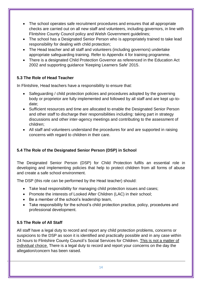- The school operates safe recruitment procedures and ensures that all appropriate checks are carried out on all new staff and volunteers, including governors, in line with Flintshire County Council policy and Welsh Government guidelines;
- The school has a Designated Senior Person who is appropriately trained to take lead responsibility for dealing with child protection;
- The Head teacher and all staff and volunteers (including governors) undertake appropriate safeguarding training. Refer to Appendix 4 for training programme.
- There is a designated Child Protection Governor as referenced in the Education Act 2002 and supporting guidance 'Keeping Learners Safe' 2015.

#### **5.3 The Role of Head Teacher**

In Flintshire, Head teachers have a responsibility to ensure that:

- Safeguarding / child protection policies and procedures adopted by the governing body or proprietor are fully implemented and followed by all staff and are kept up-todate;
- Sufficient resources and time are allocated to enable the Designated Senior Person and other staff to discharge their responsibilities including: taking part in strategy discussions and other inter-agency meetings and contributing to the assessment of children;
- All staff and volunteers understand the procedures for and are supported in raising concerns with regard to children in their care.

### **5.4 The Role of the Designated Senior Person (DSP) in School**

The Designated Senior Person (DSP) for Child Protection fulfils an essential role in developing and implementing policies that help to protect children from all forms of abuse and create a safe school environment.

The DSP (this role can be performed by the Head teacher) should:

- Take lead responsibility for managing child protection issues and cases;
- Promote the interests of Looked After Children (LAC) in their school;
- Be a member of the school's leadership team.
- Take responsibility for the school's child protection practice, policy, procedures and professional development.

#### **5.5 The Role of All Staff**

All staff have a legal duty to record and report any child protection problems, concerns or suspicions to the DSP as soon it is identified and practically possible and in any case within 24 hours to Flintshire County Council's Social Services for Children. This is not a matter of individual choice. There is a legal duty to record and report your concerns on the day the allegation/concern has been raised.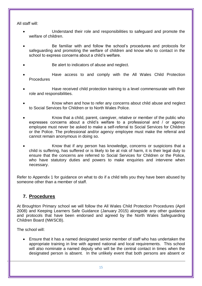All staff will:

- Understand their role and responsibilities to safeguard and promote the welfare of children.
- Be familiar with and follow the school's procedures and protocols for safeguarding and promoting the welfare of children and know who to contact in the school to express concerns about a child's welfare.
- Be alert to indicators of abuse and neglect.
- Have access to and comply with the All Wales Child Protection Procedures
- Have received child protection training to a level commensurate with their role and responsibilities.
- Know when and how to refer any concerns about child abuse and neglect to Social Services for Children or to North Wales Police.
- Know that a child, parent, caregiver, relative or member of the public who expresses concerns about a child's welfare to a professional and / or agency employee must never be asked to make a self-referral to Social Services for Children or the Police. The professional and/or agency employee must make the referral and cannot remain anonymous in doing so.
- Know that if any person has knowledge, concerns or suspicions that a child is suffering, has suffered or is likely to be at risk of harm, it is their legal duty to ensure that the concerns are referred to Social Services for Children or the Police, who have statutory duties and powers to make enquiries and intervene when necessary.

Refer to Appendix 1 for guidance on what to do if a child tells you they have been abused by someone other than a member of staff.

## **7. Procedures**

At Broughton Primary school we will follow the All Wales Child Protection Procedures (April 2008) and Keeping Learners Safe Guidance (January 2015) alongside any other guidance and protocols that have been endorsed and agreed by the North Wales Safeguarding Children Board (NWSCB).

The school will:

 Ensure that it has a named designated senior member of staff who has undertaken the appropriate training in line with agreed national and local requirements. This school will also nominate a named deputy who will be the central contact in times when the designated person is absent. In the unlikely event that both persons are absent or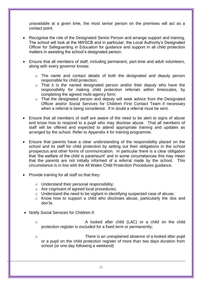unavailable at a given time, the most senior person on the premises will act as a contact point.

- Recognise the role of the Designated Senior Person and arrange support and training. The school will look at the NWSCB and in particular, the Local Authority's Designated Officer for Safeguarding in Education for guidance and support in all child protection matters in assisting the school's designated person.
- Ensure that all members of staff, including permanent, part-time and adult volunteers, along with every governor knows:
	- o The name and contact details of both the designated and deputy person responsible for child protection;
	- o That it is the named designated person and/or their deputy who have the responsibility for making child protection referrals within timescales, by completing the agreed multi-agency form;
	- o That the designated person and deputy will seek advice from the Designated Officer and/or Social Services for Children First Contact Team if necessary when a referral is being considered. If in doubt a referral must be sent.
- Ensure that all members of staff are aware of the need to be alert to signs of abuse and know how to respond to a pupil who may disclose abuse. That all members of staff will be offered and expected to attend appropriate training and updates as arranged by the school. Refer to Appendix 4 for training programme.
- Ensure that parents have a clear understanding of the responsibility placed on the school and its staff for child protection by setting out their obligations in the school prospectus and other forms of communication. In particular there is a clear obligation that 'the welfare of the child is paramount' and in some circumstances this may mean that the parents are not initially informed of a referral made by the school. This circumstance is in line with the All Wales Child Protection Procedures guidance.
- Provide training for all staff so that they:
	- o Understand their personal responsibility;
	- o Are cognisant of agreed local procedures;
	- o Understand the need to be vigilant in identifying suspected case of abuse;
	- o Know how to support a child who discloses abuse, particularly the dos and don'ts.
- Notify Social Services for Children if:
	- o A looked after child (LAC) or a child on the child protection register is excluded for a fixed term or permanently;
	- o There is an unexplained absence of a looked after pupil or a pupil on the child protection register of more than two days duration from school (or one day following a weekend)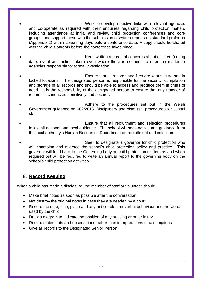- Work to develop effective links with relevant agencies and co-operate as required with their enquiries regarding child protection matters including attendance at initial and review child protection conferences and core groups, and support these with the submission of written reports on standard proforma (Appendix 2) within 2 working days before conference date. A copy should be shared with the child's parents before the conference takes place.
- Keep written records of concerns about children (noting date, event and action taken) even where there is no need to refer the matter to agencies responsible for formal investigation.
- Ensure that all records and files are kept secure and in locked locations. The designated person is responsible for the security, compilation and storage of all records and should be able to access and produce them in times of need. It is the responsibility of the designated person to ensure that any transfer of records is conducted sensitively and securely.
- Adhere to the procedures set out in the Welsh Government guidance no 002/2013 'Disciplinary and dismissal procedures for school staff'
- Ensure that all recruitment and selection procedures follow all national and local guidance. The school will seek advice and guidance from the local authority's Human Resources Department on recruitment and selection.
- Seek to designate a governor for child protection who will champion and oversee the school's child protection policy and practice. This governor will feed back to the Governing body on child protection matters as and when required but will be required to write an annual report to the governing body on the school's child protection activities.

## **8. Record Keeping**

When a child has made a disclosure, the member of staff or volunteer should:

- Make brief notes as soon as possible after the conversation.
- Not destroy the original notes in case they are needed by a court
- Record the date, time, place and any noticeable non-verbal behaviour and the words used by the child
- Draw a diagram to indicate the position of any bruising or other injury
- Record statements and observations rather than interpretations or assumptions
- Give all records to the Designated Senior Person.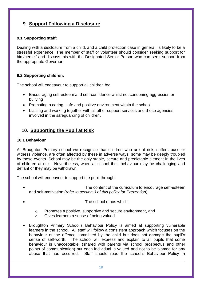## **9. Support Following a Disclosure**

#### **9.1 Supporting staff:**

Dealing with a disclosure from a child, and a child protection case in general, is likely to be a stressful experience. The member of staff or volunteer should consider seeking support for him/herself and discuss this with the Designated Senior Person who can seek support from the appropriate Governor.

#### **9.2 Supporting children:**

The school will endeavour to support all children by:

- Encouraging self-esteem and self-confidence whilst not condoning aggression or bullying
- Promoting a caring, safe and positive environment within the school
- Liaising and working together with all other support services and those agencies involved in the safeguarding of children.

## **10. Supporting the Pupil at Risk**

#### **10.1 Behaviour**

At Broughton Primary school we recognise that children who are at risk, suffer abuse or witness violence, are often affected by these in adverse ways, some may be deeply troubled by these events. School may be the only stable, secure and predictable element in the lives of children at risk. Nevertheless, when at school their behaviour may be challenging and defiant or they may be withdrawn.

The school will endeavour to support the pupil through:

- The content of the curriculum to encourage self-esteem and self-motivation (*refer to section 3 of this policy for Prevention*);
	- The school ethos which:
	- o Promotes a positive, supportive and secure environment, and
	- o Gives learners a sense of being valued.
- Broughton Primary School's Behaviour Policy is aimed at supporting vulnerable learners in the school. All staff will follow a consistent approach which focuses on the behaviour of the offence committed by the child but does not damage the pupil's sense of self-worth. The school will express and explain to all pupils that some behaviour is unacceptable, (shared with parents via school prospectus and other points of communication) but each individual is valued and not to be blamed for any abuse that has occurred. Staff should read the school's Behaviour Policy in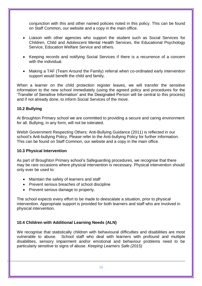conjunction with this and other named policies noted in this policy. This can be found on Staff Common, our website and a copy in the main office.

- Liaison with other agencies who support the student such as Social Services for Children, Child and Adolescent Mental Health Services, the Educational Psychology Service, Education Welfare Service and others.
- Keeping records and notifying Social Services if there is a recurrence of a concern with the individual.
- Making a TAF (Team Around the Family) referral when co-ordinated early intervention support would benefit the child and family.

When a learner on the child protection register leaves, we will transfer the sensitive information to the new school immediately (using the agreed policy and procedures for the 'Transfer of Sensitive Information' and the Designated Person will be central to this process) and if not already done, to inform Social Services of the move.

#### **10.2 Bullying**

At Broughton Primary school we are committed to providing a secure and caring environment for all. Bullying, in any form, will not be tolerated.

Welsh Government Respecting Others: Anti-Bullying Guidance (2011) is reflected in our school's Anti-bullying Policy. Please refer to the Anti-bullying Policy for further information. This can be found on Staff Common, our website and a copy in the main office.

#### **10.3 Physical Intervention**

As part of Broughton Primary school's Safeguarding procedures, we recognise that there may be rare occasions where physical intervention is necessary. Physical intervention should only ever be used to:

- Maintain the safety of learners and staff
- Prevent serious breaches of school discipline
- Prevent serious damage to property.

The school expects every effort to be made to deescalate a situation, prior to physical intervention. Appropriate support is provided for both learners and staff who are involved in physical intervention.

#### **10.4 Children with Additional Learning Needs (ALN)**

We recognise that statistically children with behavioural difficulties and disabilities are most vulnerable to abuse. School staff who deal with learners with profound and multiple disabilities, sensory impairment and/or emotional and behaviour problems need to be particularly sensitive to signs of abuse. *Keeping Learners Safe (2015)*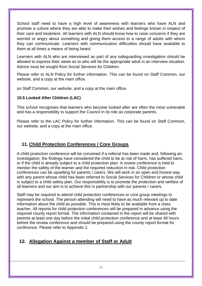School staff need to have a high level of awareness with learners who have ALN and promote a culture where they are able to make their wishes and feelings known in respect of their care and treatment. All learners with ALN should know how to raise concerns if they are worried or angry about something and giving them access to a range of adults with whom they can communicate. Learners with communication difficulties should have available to them at all times a means of being heard.

Learners with ALN who are interviewed as part of any safeguarding investigation should be allowed to express their views as to who will be the appropriate adult in an interview situation. Advice must be sought from Social Services for Children.

Please refer to ALN Policy for further information. This can be found on Staff Common, our website, and a copy at the main office.

on Staff Common, our website, and a copy at the main office.

#### **10.5 Looked After Children (LAC)**

This school recognises that learners who become looked after are often the most vulnerable and has a responsibility to support the Council in its role as corporate parents.

Please refer to the LAC Policy for further information. This can be found on Staff Common, our website, and a copy at the main office.

## **11. Child Protection Conferences / Core Groups**

A child protection conference will be convened if a referral has been made and, following an investigation, the findings have considered the child to be at risk of harm, has suffered harm, or if the child is already subject to a child protection plan. A review conference is held to monitor the safety of the learner and the required reduction in risk. Child protection conferences can be upsetting for parents / carers. We will work in an open and honest way with any parent whose child has been referred to Social Services for Children or whose child is subject to a child safety plan. Our responsibility is to promote the protection and welfare of all learners and our aim is to achieve this in partnership with our parents / carers.

Staff may be required to attend child protection conferences or core group meetings to represent the school. The person attending will need to have as much relevant up to date information about the child as possible. This is most likely to be available from a class teacher. All reports for child protection conferences will be prepared in advance using the required county report format. The information contained in the report will be shared with parents at least one day before the initial child protection conference and at least 48 hours before the review conference and should be prepared using the county report format for conference. Please refer to Appendix 2.

## **12. Allegation Against a member of Staff or Adult**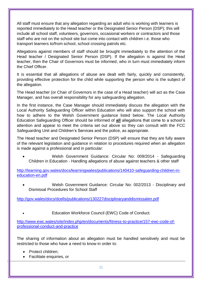All staff must ensure that any allegation regarding an adult who is working with learners is reported immediately to the Head teacher or the Designated Senior Person (DSP); this will include all school staff, volunteers, governors, occasional workers or contractors and those staff who are not on the school site but come into contact with children i.e. those who transport learners to/from school, school crossing patrols etc.

Allegations against members of staff should be brought immediately to the attention of the Head teacher / Designated Senior Person (DSP). If the allegation is against the Head teacher, then the Chair of Governors must be informed, who in turn must immediately inform the Chief Officer.

It is essential that all allegations of abuse are dealt with fairly, quickly and consistently, providing effective protection for the child while supporting the person who is the subject of the allegation.

The Head teacher (or Chair of Governors in the case of a Head teacher) will act as the Case Manager, and has overall responsibility for any safeguarding allegation.

In the first instance, the Case Manager should immediately discuss the allegation with the Local Authority Safeguarding Officer within Education who will also support the school with how to adhere to the Welsh Government guidance listed below. The Local Authority Education Safeguarding Officer should be informed of **all** allegations that come to a school's attention and appear to meet the criteria set out above so they can consult with the FCC Safeguarding Unit and Children's Services and the police, as appropriate.

The Head teacher and Designated Senior Person (DSP) will ensure that they are fully aware of the relevant legislation and guidance in relation to procedures required when an allegation is made against a professional and in particular:

 Welsh Government Guidance: Circular No: 009/2014 - Safeguarding Children in Education - Handling allegations of abuse against teachers & other staff

[http://learning.gov.wales/docs/learningwales/publications/140410-safeguarding-children-in](http://learning.gov.wales/docs/learningwales/publications/140410-safeguarding-children-in-education-en.pdf)[education-en.pdf](http://learning.gov.wales/docs/learningwales/publications/140410-safeguarding-children-in-education-en.pdf)

 Welsh Government Guidance: Circular No: 002/2013 - Disciplinary and Dismissal Procedures for School Staff

<http://gov.wales/docs/dcells/publications/130227disciplinaryanddismissalen.pdf>

Education Workforce Council (EWC) Code of Conduct.

[http://www.ewc.wales/site/index.php/en/documents/fitness-to-practice/157-ewc-code-of](http://www.ewc.wales/site/index.php/en/documents/fitness-to-practice/157-ewc-code-of-professional-conduct-and-practice)[professional-conduct-and-practice](http://www.ewc.wales/site/index.php/en/documents/fitness-to-practice/157-ewc-code-of-professional-conduct-and-practice)

The sharing of information about an allegation must be handled sensitively and must be restricted to those who have a need to know in order to:

- Protect children;
- Facilitate enquiries, or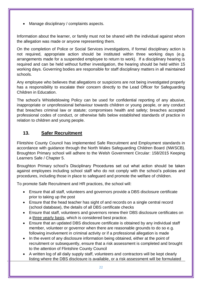Manage disciplinary / complaints aspects.

Information about the learner, or family must not be shared with the individual against whom the allegation was made or anyone representing them.

On the completion of Police or Social Services investigations, if formal disciplinary action is not required, appropriate action should be instituted within three working days (e.g. arrangements made for a suspended employee to return to work). If a disciplinary hearing is required and can be held without further investigation, the hearing should be held within 15 working days. Governing bodies are responsible for staff disciplinary matters in all maintained schools.

Any employee who believes that allegations or suspicions are not being investigated properly has a responsibility to escalate their concern directly to the Lead Officer for Safeguarding Children in Education.

The school's Whistleblowing Policy can be used for confidential reporting of any abusive, inappropriate or unprofessional behaviour towards children or young people, or any conduct that breaches criminal law or statute; compromises health and safety; breaches accepted professional codes of conduct, or otherwise falls below established standards of practice in relation to children and young people.

## **13. Safer Recruitment**

Flintshire County Council has implemented Safe Recruitment and Employment standards in accordance with guidance through the North Wales Safeguarding Children Board (NWSCB). Broughton Primary school will adhere to the Welsh Government Circular: 158/2015 Keeping Learners Safe / Chapter 5.

Broughton Primary school's Disciplinary Procedures set out what action should be taken against employees including school staff who do not comply with the school's policies and procedures, including those in place to safeguard and promote the welfare of children.

To promote Safe Recruitment and HR practices, the school will:

- Ensure that all staff, volunteers and governors provide a DBS disclosure certificate prior to taking up the post
- Ensure that the head teacher has sight of and records on a single central record (school database), the details of all DBS certificate checks
- Ensure that staff, volunteers and governors renew their DBS disclosure certificates on a three yearly basis, which is considered best practice.
- Ensure that an updated DBS disclosure certificate is obtained by any individual staff member, volunteer or governor when there are reasonable grounds to do so e.g. following involvement in criminal activity or if a professional allegation is made
- In the event of any disclosure information being obtained, either at the point of recruitment or subsequently, ensure that a risk assessment is completed and brought to the attention of Flintshire County Council
- A written log of all daily supply staff, volunteers and contractors will be kept clearly listing where the DBS disclosure is available, or a risk assessment will be formulated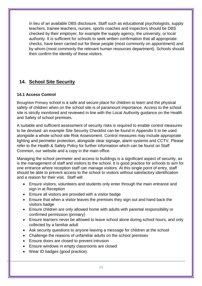in lieu of an available DBS disclosure. Staff such as educational psychologists, supply teachers, trainee teachers, nurses, sports coaches and inspectors should be DBS checked by their employer, for example the supply agency, the university, or local authority. It is sufficient for schools to seek written confirmation that all appropriate checks, have been carried out for these people (most commonly on appointment) and by whom (most commonly the relevant human resources department). Schools should then confirm the identity of these visitors.

## **14. School Site Security**

#### **14.1 Access Control**

Broughton Primary school is a safe and secure place for children to learn and the physical safety of children when on the school site is of paramount importance. Access to the school site is strictly monitored and reviewed in line with the Local Authority guidance on the Health and Safety of school premises.

A suitable and sufficient assessment of security risks is required to enable control measures to be devised: an example Site Security Checklist can be found in Appendix 5 to be used alongside a whole school site Risk Assessment. Control measures may include appropriate lighting and perimeter protection, alongside clear signage, alarm systems and CCTV. Please refer to the Health & Safety Policy for further information which can be found on Staff Common, our website and a copy in the main office.

Managing the school perimeter and access to buildings is a significant aspect of security, as is the management of staff and visitors to the school. It is good practice for schools to aim for one entrance where reception staff can manage visitors. At this single point of entry, staff should be able to prevent access to the school to visitors without satisfactory identification and a reason for their visit. Staff will:

- Ensure visitors, volunteers and students only enter through the main entrance and sign in at Reception
- Ensure all visitors are provided with a visitor badge
- Ensure that when a visitor leaves the premises they sign out and hand back the visitors badge
- Ensure children are only allowed home with adults with parental responsibility or confirmed permission (primary)
- Ensure learners never be allowed to leave school alone during school hours, and only collected by a familiar adult
- Ask security questions to anyone leaving a message for children at the school
- Challenge the reasons of unfamiliar adults on the school premises
- Ensure doors are closed to prevent intrusion
- Ensure windows in empty classrooms are closed
- Wear ID badges (good practice).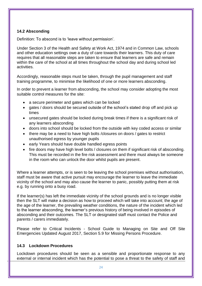#### **14.2 Absconding**

Definition: To abscond is to 'leave without permission'.

Under Section 3 of the Health and Safety at Work Act, 1974 and in Common Law, schools and other education settings owe a duty of care towards their learners. This duty of care requires that all reasonable steps are taken to ensure that learners are safe and remain within the care of the school at all times throughout the school day and during school led activities.

Accordingly, reasonable steps must be taken, through the pupil management and staff training programme, to minimise the likelihood of one or more learners absconding.

In order to prevent a learner from absconding, the school may consider adopting the most suitable control measures for the site:

- a secure perimeter and gates which can be locked
- gates / doors should be secured outside of the school's stated drop off and pick up times
- unsecured gates should be locked during break times if there is a significant risk of any learners absconding
- doors into school should be locked from the outside with key coded access or similar
- there may be a need to have high bolts / closures on doors / gates to restrict unauthorised egress by younger pupils
- early Years should have double handled egress points
- fire doors may have high level bolts / closures on them if significant risk of absconding. This must be recorded in the fire risk assessment and there must always be someone in the room who can unlock the door whilst pupils are present.

Where a learner attempts, or is seen to be leaving the school premises without authorisation, staff must be aware that active pursuit may encourage the learner to leave the immediate vicinity of the school and may also cause the learner to panic, possibly putting them at risk e.g. by running onto a busy road.

If the learner(s) has left the immediate vicinity of the school grounds and is no longer visible then the SLT will make a decision as how to proceed which will take into account; the age of the age of the learner, the prevailing weather conditions, the nature of the incident which led to the learner absconding, the learner's previous history of being involved in episodes of absconding and their outcomes. The SLT or designated staff must contact the Police and parents / carers immediately.

Please refer to Critical Incidents - School Guide to Managing on Site and Off Site Emergencies Updated August 2017, Section 5.9 for Missing Persons Procedure.

#### **14.3 Lockdown Procedures**

Lockdown procedures should be seen as a sensible and proportionate response to any external or internal incident which has the potential to pose a threat to the safety of staff and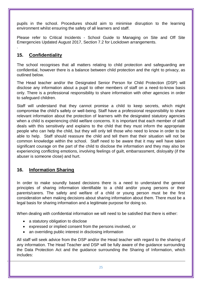pupils in the school. Procedures should aim to minimise disruption to the learning environment whilst ensuring the safety of all learners and staff.

Please refer to Critical Incidents - School Guide to Managing on Site and Off Site Emergencies Updated August 2017, Section 7.2 for Lockdown arrangements.

## **15. Confidentiality**

.

The school recognises that all matters relating to child protection and safeguarding are confidential, however there is a balance between child protection and the right to privacy, as outlined below.

The Head teacher and/or the Designated Senior Person for Child Protection (DSP) will disclose any information about a pupil to other members of staff on a need-to-know basis only. There is a professional responsibility to share information with other agencies in order to safeguard children.

Staff will understand that they cannot promise a child to keep secrets, which might compromise the child's safety or well-being. Staff have a professional responsibility to share relevant information about the protection of learners with the designated statutory agencies when a child is experiencing child welfare concerns. It is important that each member of staff deals with this sensitively and explains to the child that they must inform the appropriate people who can help the child, but they will only tell those who need to know in order to be able to help. Staff should reassure the child and tell them that their situation will not be common knowledge within the school. Staff need to be aware that it may well have taken significant courage on the part of the child to disclose the information and they may also be experiencing conflicting emotions, involving feelings of guilt, embarrassment, disloyalty (if the abuser is someone close) and hurt.

## **16. Information Sharing**

In order to make soundly based decisions there is a need to understand the general principles of sharing information identifiable to a child and/or young persons or their parents/carers. The safety and welfare of a child or young person must be the first consideration when making decisions about sharing information about them. There must be a legal basis for sharing information and a legitimate purpose for doing so.

When dealing with confidential information we will need to be satisfied that there is either:

- a statutory obligation to disclose
- expressed or implied consent from the persons involved, or
- an overriding public interest in disclosing information

All staff will seek advice from the DSP and/or the Head teacher with regard to the sharing of any information. The Head Teacher and DSP will be fully aware of the guidance surrounding the Data Protection Act and the guidance surrounding the Sharing of Information, which includes: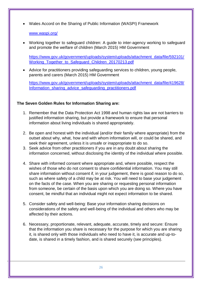Wales Accord on the Sharing of Public Information (WASPI) Framework

#### [www.waspi.org/](http://www.waspi.org/)

 Working together to safeguard children: A guide to inter-agency working to safeguard and promote the welfare of children (March 2015) HM Government

[https://www.gov.uk/government/uploads/system/uploads/attachment\\_data/file/592101/](https://www.gov.uk/government/uploads/system/uploads/attachment_data/file/592101/Working_Together_to_Safeguard_Children_20170213.pdf) Working Together to Safeguard Children 20170213.pdf

 Advice for practitioners providing safeguarding services to children, young people, parents and carers (March 2015) HM Government

[https://www.gov.uk/government/uploads/system/uploads/attachment\\_data/file/419628/](https://www.gov.uk/government/uploads/system/uploads/attachment_data/file/419628/Information_sharing_advice_safeguarding_practitioners.pdf) [Information\\_sharing\\_advice\\_safeguarding\\_practitioners.pdf](https://www.gov.uk/government/uploads/system/uploads/attachment_data/file/419628/Information_sharing_advice_safeguarding_practitioners.pdf)

#### **The Seven Golden Rules for Information Sharing are:**

- 1. Remember that the Data Protection Act 1998 and human rights law are not barriers to justified information sharing, but provide a framework to ensure that personal information about living individuals is shared appropriately.
- 2. Be open and honest with the individual (and/or their family where appropriate) from the outset about why, what, how and with whom information will, or could be shared, and seek their agreement, unless it is unsafe or inappropriate to do so.
- 3. Seek advice from other practitioners if you are in any doubt about sharing the information concerned, without disclosing the identity of the individual where possible.
- 4. Share with informed consent where appropriate and, where possible, respect the wishes of those who do not consent to share confidential information. You may still share information without consent if, in your judgement, there is good reason to do so, such as where safety of a child may be at risk. You will need to base your judgement on the facts of the case. When you are sharing or requesting personal information from someone, be certain of the basis upon which you are doing so. Where you have consent, be mindful that an individual might not expect information to be shared.
- 5. Consider safety and well-being: Base your information sharing decisions on considerations of the safety and well-being of the individual and others who may be affected by their actions.
- 6. Necessary, proportionate, relevant, adequate, accurate, timely and secure: Ensure that the information you share is necessary for the purpose for which you are sharing it, is shared only with those individuals who need to have it, is accurate and up-todate, is shared in a timely fashion, and is shared securely (see principles).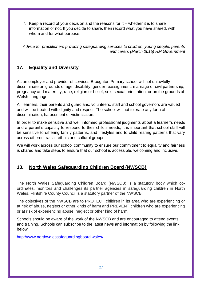7. Keep a record of your decision and the reasons for it – whether it is to share information or not. If you decide to share, then record what you have shared, with whom and for what purpose.

*Advice for practitioners providing safeguarding services to children, young people, parents and carers (March 2015) HM Government*

## **17. Equality and Diversity**

As an employer and provider of services Broughton Primary school will not unlawfully discriminate on grounds of age, disability, gender reassignment, marriage or civil partnership, pregnancy and maternity, race, religion or belief, sex, sexual orientation, or on the grounds of Welsh Language.

All learners, their parents and guardians, volunteers, staff and school governors are valued and will be treated with dignity and respect. The school will not tolerate any form of discrimination, harassment or victimisation.

In order to make sensitive and well informed professional judgments about a learner's needs and a parent's capacity to respond to their child's needs, it is important that school staff will be sensitive to differing family patterns, and lifestyles and to child rearing patterns that vary across different racial, ethnic and cultural groups.

We will work across our school community to ensure our commitment to equality and fairness is shared and take steps to ensure that our school is accessible, welcoming and inclusive.

## **18. North Wales Safeguarding Children Board (NWSCB)**

The North Wales Safeguarding Children Board (NWSCB) is a statutory body which coordinates, monitors and challenges its partner agencies in safeguarding children in North Wales. Flintshire County Council is a statutory partner of the NWSCB.

The objectives of the NWSCB are to PROTECT children in its area who are experiencing or at risk of abuse, neglect or other kinds of harm and PREVENT children who are experiencing or at risk of experiencing abuse, neglect or other kind of harm.

Schools should be aware of the work of the NWSCB and are encouraged to attend events and training. Schools can subscribe to the latest news and information by following the link below:

<http://www.northwalessafeguardingboard.wales/>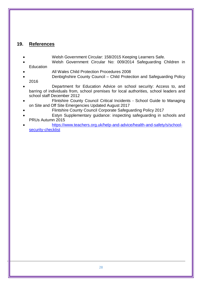## **19. References**

- Welsh Government Circular: 158/2015 Keeping Learners Safe.
- Welsh Government Circular No: 009/2014 Safeguarding Children in **Education**
- All Wales Child Protection Procedures 2008
- Denbighshire County Council Child Protection and Safeguarding Policy 2016
- Department for Education Advice on school security: Access to, and barring of individuals from, school premises for local authorities, school leaders and school staff December 2012
- Flintshire County Council Critical Incidents School Guide to Managing on Site and Off Site Emergencies Updated August 2017
	- Flintshire County Council Corporate Safeguarding Policy 2017
- Estyn Supplementary guidance: inspecting safeguarding in schools and PRUs Autumn 2015
- [https://www.teachers.org.uk/help-and-advice/health-and-safety/s/school](https://www.teachers.org.uk/help-and-advice/health-and-safety/s/school-security-checklist)[security-checklist](https://www.teachers.org.uk/help-and-advice/health-and-safety/s/school-security-checklist)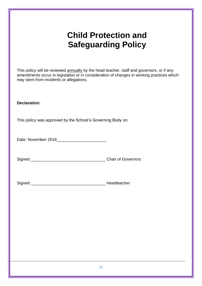## **Child Protection and Safeguarding Policy**

| This policy will be reviewed annually by the head teacher, staff and governors, or if any<br>amendments occur in legislation or in consideration of changes in working practices which<br>may stem from incidents or allegations. |  |  |  |  |  |  |
|-----------------------------------------------------------------------------------------------------------------------------------------------------------------------------------------------------------------------------------|--|--|--|--|--|--|
| <b>Declaration:</b>                                                                                                                                                                                                               |  |  |  |  |  |  |
| This policy was approved by the School's Governing Body on:                                                                                                                                                                       |  |  |  |  |  |  |
|                                                                                                                                                                                                                                   |  |  |  |  |  |  |
|                                                                                                                                                                                                                                   |  |  |  |  |  |  |
|                                                                                                                                                                                                                                   |  |  |  |  |  |  |
|                                                                                                                                                                                                                                   |  |  |  |  |  |  |
|                                                                                                                                                                                                                                   |  |  |  |  |  |  |
|                                                                                                                                                                                                                                   |  |  |  |  |  |  |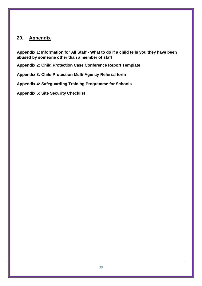## **20. Appendix**

**Appendix 1**: **Information for All Staff** - **What to do if a child tells you they have been abused by someone other than a member of staff**

**Appendix 2: Child Protection Case Conference Report Template**

**Appendix 3: Child Protection Multi Agency Referral form**

**Appendix 4: Safeguarding Training Programme for Schools**

**Appendix 5: Site Security Checklist**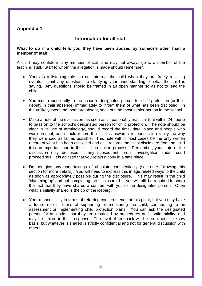## **Appendix 1:**

## **Information for all staff**

#### **What to do if a child tells you they have been abused by someone other than a member of staff**

A child may confide in any member of staff and may not always go to a member of the teaching staff. Staff to whom the allegation is made should remember:

- Yours is a listening role, do not interrupt the child when they are freely recalling events. Limit any questions to clarifying your understanding of what the child is saying. Any questions should be framed in an open manner so as not to lead the child;
- You must report orally to the school's designated person for child protection (or their deputy in their absence) immediately to inform them of what has been disclosed. In the unlikely event that both are absent, seek out the most senior person in the school
- Make a note of the discussion, as soon as is reasonably practical (but within 24 hours) to pass on to the school's designated person for child protection. The note should be clear in its use of terminology, should record the time, date, place and people who were present, and should record the child's answers / responses in exactly the way they were said as far as possible. This note will in most cases be the only written record of what has been disclosed and as it records the initial disclosure from the child it is an important one in the child protection process. Remember, your note of the discussion may be used in any subsequent formal investigation and/or court proceedings. It is advised that you retain a copy in a safe place;
- Do not give any undertakings of absolute confidentiality (see note following this section for more details). You will need to express this in age related ways to the child as soon as appropriately possible during the disclosure. This may result in the child 'clamming up' and not completing the disclosure, but you will still be required to share the fact that they have shared a concern with you to the designated person. Often what is initially shared is the tip of the iceberg;
- Your responsibility in terms of referring concerns ends at this point, but you may have a future role in terms of supporting or monitoring the child, contributing to an assessment or implementing child protection plans. You can ask the designated person for an update but they are restricted by procedures and confidentiality, and may be limited in their response. The level of feedback will be on a need to know basis, but whatever is shared is strictly confidential and not for general discussion with others.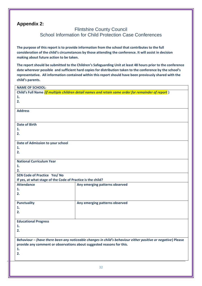#### **Appendix 2:**

#### Flintshire County Council School Information for Child Protection Case Conferences

**The purpose of this report is to provide information from the school that contributes to the full consideration of the child's circumstances by those attending the conference. It will assist in decision making about future action to be taken.** 

**The report should be submitted to the Children's Safeguarding Unit at least 48 hours prior to the conference date wherever possible and sufficient hard copies for distribution taken to the conference by the school's representative. All information contained within this report should have been previously shared with the child's parents.** 

| <b>NAME OF SCHOOL:</b>                                                                              |                                                                                                              |  |  |  |  |  |  |  |
|-----------------------------------------------------------------------------------------------------|--------------------------------------------------------------------------------------------------------------|--|--|--|--|--|--|--|
| Child's Full Name (if multiple children detail names and retain same order for remainder of report) |                                                                                                              |  |  |  |  |  |  |  |
| 1.                                                                                                  |                                                                                                              |  |  |  |  |  |  |  |
| 2.                                                                                                  |                                                                                                              |  |  |  |  |  |  |  |
|                                                                                                     |                                                                                                              |  |  |  |  |  |  |  |
| <b>Address</b>                                                                                      |                                                                                                              |  |  |  |  |  |  |  |
|                                                                                                     |                                                                                                              |  |  |  |  |  |  |  |
|                                                                                                     |                                                                                                              |  |  |  |  |  |  |  |
| <b>Date of Birth</b>                                                                                |                                                                                                              |  |  |  |  |  |  |  |
| 1.                                                                                                  |                                                                                                              |  |  |  |  |  |  |  |
| 2.                                                                                                  |                                                                                                              |  |  |  |  |  |  |  |
|                                                                                                     |                                                                                                              |  |  |  |  |  |  |  |
| Date of Admission to your school                                                                    |                                                                                                              |  |  |  |  |  |  |  |
| 1.                                                                                                  |                                                                                                              |  |  |  |  |  |  |  |
| 2.                                                                                                  |                                                                                                              |  |  |  |  |  |  |  |
| <b>National Curriculum Year</b>                                                                     |                                                                                                              |  |  |  |  |  |  |  |
| 1.                                                                                                  |                                                                                                              |  |  |  |  |  |  |  |
| 2.                                                                                                  |                                                                                                              |  |  |  |  |  |  |  |
| <b>SEN Code of Practice Yes/ No</b>                                                                 |                                                                                                              |  |  |  |  |  |  |  |
| If yes, at what stage of the Code of Practice is the child?                                         |                                                                                                              |  |  |  |  |  |  |  |
| <b>Attendance</b>                                                                                   | Any emerging patterns observed                                                                               |  |  |  |  |  |  |  |
| 1.                                                                                                  |                                                                                                              |  |  |  |  |  |  |  |
| 2.                                                                                                  |                                                                                                              |  |  |  |  |  |  |  |
|                                                                                                     |                                                                                                              |  |  |  |  |  |  |  |
| <b>Punctuality</b>                                                                                  | Any emerging patterns observed                                                                               |  |  |  |  |  |  |  |
| 1.                                                                                                  |                                                                                                              |  |  |  |  |  |  |  |
| 2.                                                                                                  |                                                                                                              |  |  |  |  |  |  |  |
|                                                                                                     |                                                                                                              |  |  |  |  |  |  |  |
| <b>Educational Progress</b>                                                                         |                                                                                                              |  |  |  |  |  |  |  |
| 1.                                                                                                  |                                                                                                              |  |  |  |  |  |  |  |
| 2.                                                                                                  |                                                                                                              |  |  |  |  |  |  |  |
|                                                                                                     |                                                                                                              |  |  |  |  |  |  |  |
|                                                                                                     | Behaviour - (have there been any noticeable changes in child's behaviour either positive or negative) Please |  |  |  |  |  |  |  |
| provide any comment or observations about suggested reasons for this.                               |                                                                                                              |  |  |  |  |  |  |  |
| 1.                                                                                                  |                                                                                                              |  |  |  |  |  |  |  |
| 2.                                                                                                  |                                                                                                              |  |  |  |  |  |  |  |
|                                                                                                     |                                                                                                              |  |  |  |  |  |  |  |
|                                                                                                     |                                                                                                              |  |  |  |  |  |  |  |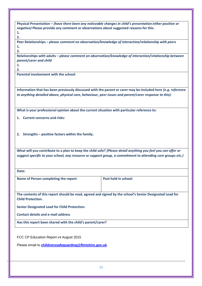**Physical Presentation –** *(have there been any noticeable changes in child's presentation either positive or negative)* **Please provide any comment or observations about suggested reasons for this. 1.**

**2.**

**Peer Relationships –** *please comment on observation/knowledge of interaction/relationship with peers* **1.**

**2.**

**Relationships with adults –** *please comment on observation/knowledge of interaction/relationship between parent/carer and child*

**1. 2.**

**Parental involvement with the school:**

**Information that has been previously discussed with the parent or carer may be included here** *(e.g. reference to anything detailed above, physical care, behaviour, peer issues and parent/carer response to this):*

**What is your professional opinion about the current situation with particular reference to:**

**1. Current concerns and risks:** 

**2. Strengths – positive factors within the family;**

**What will you contribute to a plan to keep the child safe?** *(Please detail anything you feel you can offer or suggest specific to your school, any resource or support group, a commitment to attending core groups etc.)* 

**Date:** 

Name of Person completing the report: Post held in school:

**The contents of this report should be read, agreed and signed by the school's Senior Designated Lead for Child Protection.**

**Senior Designated Lead for Child Protection:**

**Contact details and e-mail address** 

**Has this report been shared with the child's parent/carer?** 

FCC CP Education Report v4 August 2015

Please email to **[childrenssafeguarding@flintshire.gov.uk](mailto:childrenssafeguarding@flintshire.gov.uk)**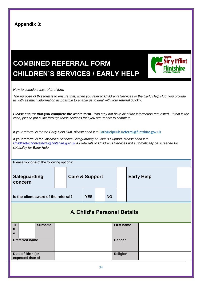| <b>Appendix 3:</b>                                                                                                                                                                                               |                                                                                                                                                                                                                                                                                                                             |                           |            |    |           |                   |                   |  |  |  |
|------------------------------------------------------------------------------------------------------------------------------------------------------------------------------------------------------------------|-----------------------------------------------------------------------------------------------------------------------------------------------------------------------------------------------------------------------------------------------------------------------------------------------------------------------------|---------------------------|------------|----|-----------|-------------------|-------------------|--|--|--|
| ir v Fflint<br><b>COMBINED REFERRAL FORM</b><br><b>CHILDREN'S SERVICES / EARLY HELP</b>                                                                                                                          |                                                                                                                                                                                                                                                                                                                             |                           |            |    |           |                   |                   |  |  |  |
| How to complete this referral form                                                                                                                                                                               |                                                                                                                                                                                                                                                                                                                             |                           |            |    |           |                   |                   |  |  |  |
| The purpose of this form is to ensure that, when you refer to Children's Services or the Early Help Hub, you provide<br>us with as much information as possible to enable us to deal with your referral quickly. |                                                                                                                                                                                                                                                                                                                             |                           |            |    |           |                   |                   |  |  |  |
| Please ensure that you complete the whole form. You may not have all of the information requested. If that is the<br>case, please put a line through those sections that you are unable to complete.             |                                                                                                                                                                                                                                                                                                                             |                           |            |    |           |                   |                   |  |  |  |
| suitability for Early Help.                                                                                                                                                                                      | If your referral is for the Early Help Hub, please send it to EarlyHelpHub.Referral@flintshire.gov.uk<br>If your referral is for Children's Services Safeguarding or Care & Support, please send it to<br>ChildProtectionReferral@flintshire.gov.uk All referrals to Children's Services will automatically be screened for |                           |            |    |           |                   |                   |  |  |  |
| Please tick one of the following options:                                                                                                                                                                        |                                                                                                                                                                                                                                                                                                                             |                           |            |    |           |                   |                   |  |  |  |
| <b>Safeguarding</b><br>concern                                                                                                                                                                                   |                                                                                                                                                                                                                                                                                                                             | <b>Care &amp; Support</b> |            |    |           |                   | <b>Early Help</b> |  |  |  |
| Is the client aware of the referral?                                                                                                                                                                             |                                                                                                                                                                                                                                                                                                                             |                           | <b>YES</b> |    | <b>NO</b> |                   |                   |  |  |  |
| <b>A. Child's Personal Details</b>                                                                                                                                                                               |                                                                                                                                                                                                                                                                                                                             |                           |            |    |           |                   |                   |  |  |  |
| <b>Surname</b><br>Ti<br>tl<br>е                                                                                                                                                                                  |                                                                                                                                                                                                                                                                                                                             |                           |            |    |           | <b>First name</b> |                   |  |  |  |
| <b>Preferred name</b>                                                                                                                                                                                            |                                                                                                                                                                                                                                                                                                                             |                           |            |    |           | Gender            |                   |  |  |  |
| Date of Birth (or<br>expected date of                                                                                                                                                                            |                                                                                                                                                                                                                                                                                                                             |                           |            |    |           | <b>Religion</b>   |                   |  |  |  |
|                                                                                                                                                                                                                  |                                                                                                                                                                                                                                                                                                                             |                           |            | 34 |           |                   |                   |  |  |  |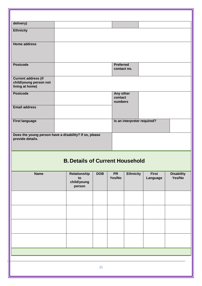| delivery)<br><b>Ethnicity</b><br><b>Home address</b><br><b>Preferred</b><br><b>Postcode</b><br>contact no.<br><b>Current address (if</b><br>child/young person not<br>living at home)<br><b>Postcode</b><br>Any other<br>contact<br>numbers<br><b>Email address</b><br><b>First language</b><br>Is an interpreter required?<br>Does the young person have a disability? If so, please<br>provide details.<br><b>B. Details of Current Household</b><br><b>Ethnicity</b><br><b>First</b><br><b>Name</b><br>Relationship<br><b>DOB</b><br><b>PR</b><br>Yes/No<br>to<br>Language<br>child/young<br>person |  |  |  |                             |
|--------------------------------------------------------------------------------------------------------------------------------------------------------------------------------------------------------------------------------------------------------------------------------------------------------------------------------------------------------------------------------------------------------------------------------------------------------------------------------------------------------------------------------------------------------------------------------------------------------|--|--|--|-----------------------------|
|                                                                                                                                                                                                                                                                                                                                                                                                                                                                                                                                                                                                        |  |  |  |                             |
|                                                                                                                                                                                                                                                                                                                                                                                                                                                                                                                                                                                                        |  |  |  |                             |
|                                                                                                                                                                                                                                                                                                                                                                                                                                                                                                                                                                                                        |  |  |  |                             |
|                                                                                                                                                                                                                                                                                                                                                                                                                                                                                                                                                                                                        |  |  |  |                             |
|                                                                                                                                                                                                                                                                                                                                                                                                                                                                                                                                                                                                        |  |  |  |                             |
|                                                                                                                                                                                                                                                                                                                                                                                                                                                                                                                                                                                                        |  |  |  |                             |
|                                                                                                                                                                                                                                                                                                                                                                                                                                                                                                                                                                                                        |  |  |  |                             |
|                                                                                                                                                                                                                                                                                                                                                                                                                                                                                                                                                                                                        |  |  |  |                             |
|                                                                                                                                                                                                                                                                                                                                                                                                                                                                                                                                                                                                        |  |  |  |                             |
|                                                                                                                                                                                                                                                                                                                                                                                                                                                                                                                                                                                                        |  |  |  |                             |
|                                                                                                                                                                                                                                                                                                                                                                                                                                                                                                                                                                                                        |  |  |  |                             |
|                                                                                                                                                                                                                                                                                                                                                                                                                                                                                                                                                                                                        |  |  |  |                             |
|                                                                                                                                                                                                                                                                                                                                                                                                                                                                                                                                                                                                        |  |  |  | <b>Disability</b><br>Yes/No |
|                                                                                                                                                                                                                                                                                                                                                                                                                                                                                                                                                                                                        |  |  |  |                             |
|                                                                                                                                                                                                                                                                                                                                                                                                                                                                                                                                                                                                        |  |  |  |                             |
|                                                                                                                                                                                                                                                                                                                                                                                                                                                                                                                                                                                                        |  |  |  |                             |
|                                                                                                                                                                                                                                                                                                                                                                                                                                                                                                                                                                                                        |  |  |  |                             |
|                                                                                                                                                                                                                                                                                                                                                                                                                                                                                                                                                                                                        |  |  |  |                             |
| 35                                                                                                                                                                                                                                                                                                                                                                                                                                                                                                                                                                                                     |  |  |  |                             |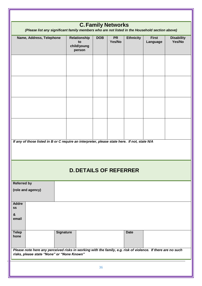| <b>C. Family Networks</b><br>(Please list any significant family members who are not listed in the Household section above)                                |                                             |            |                     |                  |                          |                             |  |  |
|------------------------------------------------------------------------------------------------------------------------------------------------------------|---------------------------------------------|------------|---------------------|------------------|--------------------------|-----------------------------|--|--|
| Name, Address, Telephone                                                                                                                                   | Relationship<br>to<br>child/young<br>person | <b>DOB</b> | <b>PR</b><br>Yes/No | <b>Ethnicity</b> | <b>First</b><br>Language | <b>Disability</b><br>Yes/No |  |  |
|                                                                                                                                                            |                                             |            |                     |                  |                          |                             |  |  |
|                                                                                                                                                            |                                             |            |                     |                  |                          |                             |  |  |
|                                                                                                                                                            |                                             |            |                     |                  |                          |                             |  |  |
| If any of those listed in B or C require an interpreter, please state here. If not, state N/A                                                              |                                             |            |                     |                  |                          |                             |  |  |
|                                                                                                                                                            |                                             |            |                     |                  |                          |                             |  |  |
|                                                                                                                                                            | <b>D. DETAILS OF REFERRER</b>               |            |                     |                  |                          |                             |  |  |
| <b>Referred by</b>                                                                                                                                         |                                             |            |                     |                  |                          |                             |  |  |
| (role and agency)                                                                                                                                          |                                             |            |                     |                  |                          |                             |  |  |
| <b>Addre</b><br>SS                                                                                                                                         |                                             |            |                     |                  |                          |                             |  |  |
| &<br>email                                                                                                                                                 |                                             |            |                     |                  |                          |                             |  |  |
| <b>Telep</b><br>hone                                                                                                                                       | <b>Signature</b>                            |            |                     | <b>Date</b>      |                          |                             |  |  |
| Please note here any perceived risks in working with the family, e.g. risk of violence. If there are no such<br>risks, please state "None" or "None Known" |                                             |            |                     |                  |                          |                             |  |  |
|                                                                                                                                                            |                                             | 36         |                     |                  |                          |                             |  |  |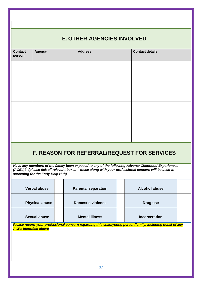## **E. OTHER AGENCIES INVOLVED**

| person              | <b>Agency</b>                     | <b>Address</b>                                                                                                                                             | <b>Contact details</b>                                                                            |  |
|---------------------|-----------------------------------|------------------------------------------------------------------------------------------------------------------------------------------------------------|---------------------------------------------------------------------------------------------------|--|
|                     |                                   |                                                                                                                                                            |                                                                                                   |  |
|                     |                                   |                                                                                                                                                            |                                                                                                   |  |
|                     |                                   |                                                                                                                                                            |                                                                                                   |  |
|                     |                                   |                                                                                                                                                            |                                                                                                   |  |
|                     |                                   |                                                                                                                                                            |                                                                                                   |  |
|                     |                                   |                                                                                                                                                            |                                                                                                   |  |
|                     |                                   |                                                                                                                                                            |                                                                                                   |  |
|                     | screening for the Early Help Hub) | <b>F. REASON FOR REFERRAL/REQUEST FOR SERVICES</b><br>(ACEs)? (please tick all relevant boxes - these along with your professional concern will be used in | Have any members of the family been exposed to any of the following Adverse Childhood Experiences |  |
| <b>Verbal abuse</b> |                                   |                                                                                                                                                            |                                                                                                   |  |
|                     |                                   | <b>Parental separation</b>                                                                                                                                 | <b>Alcohol abuse</b>                                                                              |  |
|                     | <b>Physical abuse</b>             | <b>Domestic violence</b>                                                                                                                                   | Drug use                                                                                          |  |
|                     | <b>Sexual abuse</b>               | <b>Mental illness</b>                                                                                                                                      | <b>Incarceration</b>                                                                              |  |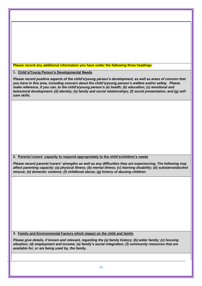**Please record any additional information you have under the following three headings**:

**1. Child's/Young Person's Developmental Needs**

*Please record positive aspects of the child's/young person's development, as well as areas of concern that you have in this area, including concern about the child's/young person's welfare and/or safety. Please make reference, if you can, to the child's/young person's (a) health; (b) education; (c) emotional and behavioral development; (d) identity; (e) family and social relationships; (f) social presentation; and (g) selfcare skills.*

**2. Parents'/carers' capacity to respond appropriately to the child's/children's needs**

*Please record parents'/carers' strengths as well as any difficulties they are experiencing. The following may affect parenting capacity: (a) physical illness; (b) mental illness; (c) learning disability; (d) substance/alcohol misuse; (e) domestic violence; (f) childhood abuse; (g) history of abusing children.*

**3. Family and Environmental Factors which impact on the child and family**

*Please give details, if known and relevant, regarding the (a) family history; (b) wider family; (c) housing situation; (d) employment and income; (e) family's social integration; (f) community resources that are available for, or are being used by, the family.*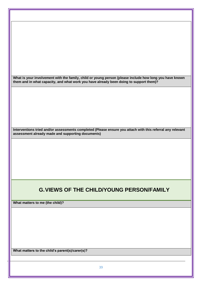**What is your involvement with the family, child or young person (please include how long you have known them and in what capacity, and what work you have already been doing to support them)?**

**Interventions tried and/or assessments completed (Please ensure you attach with this referral any relevant assessment already made and supporting documents)**

## **G.VIEWS OF THE CHILD/YOUNG PERSON/FAMILY**

**What matters to me (the child)?**

**What matters to the child's parent(s)/carer(s)?**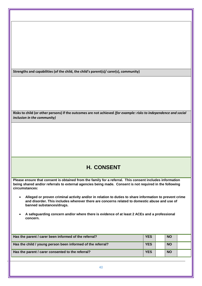**Strengths and capabilities (of the child, the child's parent(s)/ carer(s), community)**

**Risks to child (or other persons) if the outcomes are not achieved** *(for example: risks to independence and social inclusion in the community)*

## **H. CONSENT**

**Please ensure that consent is obtained from the family for a referral. This consent includes information being shared and/or referrals to external agencies being made. Consent is not required in the following circumstances:**

- **Alleged or proven criminal activity and/or in relation to duties to share information to prevent crime and disorder. This includes wherever there are concerns related to domestic abuse and use of banned substances/drugs.**
- **A safeguarding concern and/or where there is evidence of at least 2 ACEs and a professional concern.**

| Has the parent / carer been informed of the referral?       | <b>YES</b> | <b>NO</b> |  |
|-------------------------------------------------------------|------------|-----------|--|
| Has the child / young person been informed of the referral? | <b>YES</b> | <b>NO</b> |  |
| Has the parent / carer consented to the referral?           | <b>YES</b> | <b>NO</b> |  |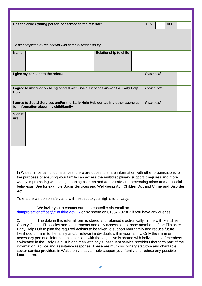|                                                                                                                                                                                                                                                                                                                                                                                                                                                                                                                                                                                                                                                                                                                                                                                                                                                                                                                                                                                                                                                                                                                                                                                                                                                                                                                                                                                                                                                                                                                                                | Has the child / young person consented to the referral?                                                                 |                              |  | <b>YES</b>  |  | <b>NO</b> |  |  |  |
|------------------------------------------------------------------------------------------------------------------------------------------------------------------------------------------------------------------------------------------------------------------------------------------------------------------------------------------------------------------------------------------------------------------------------------------------------------------------------------------------------------------------------------------------------------------------------------------------------------------------------------------------------------------------------------------------------------------------------------------------------------------------------------------------------------------------------------------------------------------------------------------------------------------------------------------------------------------------------------------------------------------------------------------------------------------------------------------------------------------------------------------------------------------------------------------------------------------------------------------------------------------------------------------------------------------------------------------------------------------------------------------------------------------------------------------------------------------------------------------------------------------------------------------------|-------------------------------------------------------------------------------------------------------------------------|------------------------------|--|-------------|--|-----------|--|--|--|
| To be completed by the person with parental responsibility                                                                                                                                                                                                                                                                                                                                                                                                                                                                                                                                                                                                                                                                                                                                                                                                                                                                                                                                                                                                                                                                                                                                                                                                                                                                                                                                                                                                                                                                                     |                                                                                                                         |                              |  |             |  |           |  |  |  |
| <b>Name</b>                                                                                                                                                                                                                                                                                                                                                                                                                                                                                                                                                                                                                                                                                                                                                                                                                                                                                                                                                                                                                                                                                                                                                                                                                                                                                                                                                                                                                                                                                                                                    |                                                                                                                         | <b>Relationship to child</b> |  |             |  |           |  |  |  |
|                                                                                                                                                                                                                                                                                                                                                                                                                                                                                                                                                                                                                                                                                                                                                                                                                                                                                                                                                                                                                                                                                                                                                                                                                                                                                                                                                                                                                                                                                                                                                | I give my consent to the referral<br>Please tick                                                                        |                              |  |             |  |           |  |  |  |
| <b>Hub</b>                                                                                                                                                                                                                                                                                                                                                                                                                                                                                                                                                                                                                                                                                                                                                                                                                                                                                                                                                                                                                                                                                                                                                                                                                                                                                                                                                                                                                                                                                                                                     | I agree to information being shared with Social Services and/or the Early Help                                          |                              |  | Please tick |  |           |  |  |  |
| <b>Signat</b>                                                                                                                                                                                                                                                                                                                                                                                                                                                                                                                                                                                                                                                                                                                                                                                                                                                                                                                                                                                                                                                                                                                                                                                                                                                                                                                                                                                                                                                                                                                                  | I agree to Social Services and/or the Early Help Hub contacting other agencies<br>for information about my child/family |                              |  | Please tick |  |           |  |  |  |
| ure                                                                                                                                                                                                                                                                                                                                                                                                                                                                                                                                                                                                                                                                                                                                                                                                                                                                                                                                                                                                                                                                                                                                                                                                                                                                                                                                                                                                                                                                                                                                            |                                                                                                                         |                              |  |             |  |           |  |  |  |
| In Wales, in certain circumstances, there are duties to share information with other organisations for<br>the purposes of ensuring your family can access the multidisciplinary support it requires and more<br>widely in promoting well-being, keeping children and adults safe and preventing crime and antisocial<br>behaviour. See for example Social Services and Well-being Act, Children Act and Crime and Disorder<br>Act.<br>To ensure we do so safely and with respect to your rights to privacy:<br>We invite you to contact our data controller via email on<br>1.<br>dataprotectionofficer@flintshire.gov.uk or by phone on 01352 702802 if you have any queries.<br>2.<br>The data in this referral form is stored and retained electronically in line with Flintshire<br>County Council IT policies and requirements and only accessible to those members of the Flintshire<br>Early Help Hub to plan the required actions to be taken to support your family and reduce future<br>likelihood of harm to the family and/or relevant individuals within your family. Only the minimum<br>necessary personal information consistent with that objective is shared with individual staff members<br>co-located in the Early Help Hub and then with any subsequent service providers that form part of the<br>information, advice and assistance response. These are multidisciplinary statutory and charitable<br>sector service providers in Wales only that can help support your family and reduce any possible<br>future harm. |                                                                                                                         |                              |  |             |  |           |  |  |  |
|                                                                                                                                                                                                                                                                                                                                                                                                                                                                                                                                                                                                                                                                                                                                                                                                                                                                                                                                                                                                                                                                                                                                                                                                                                                                                                                                                                                                                                                                                                                                                |                                                                                                                         | 41                           |  |             |  |           |  |  |  |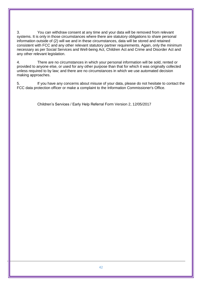3. You can withdraw consent at any time and your data will be removed from relevant systems. It is only in those circumstances where there are statutory obligations to share personal information outside of (2) will we and in these circumstances, data will be stored and retained consistent with FCC and any other relevant statutory partner requirements. Again, only the minimum necessary as per Social Services and Well-being Act, Children Act and Crime and Disorder Act and any other relevant legislation.

4. There are no circumstances in which your personal information will be sold, rented or provided to anyone else, or used for any other purpose than that for which it was originally collected unless required to by law; and there are no circumstances in which we use automated decision making approaches.

5. If you have any concerns about misuse of your data, please do not hesitate to contact the FCC data protection officer or make a complaint to the Information Commissioner's Office.

Children's Services / Early Help Referral Form Version 2, 12/05/2017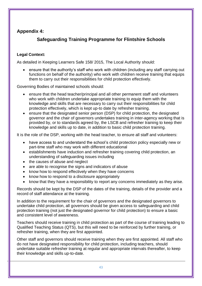## **Appendix 4:**

## **Safeguarding Training Programme for Flintshire Schools**

#### **Legal Context:**

As detailed in Keeping Learners Safe 158/ 2015, The Local Authority should:

 ensure that the authority's staff who work with children (including any staff carrying out functions on behalf of the authority) who work with children receive training that equips them to carry out their responsibilities for child protection effectively.

Governing Bodies of maintained schools should:

- ensure that the head teacher/principal and all other permanent staff and volunteers who work with children undertake appropriate training to equip them with the knowledge and skills that are necessary to carry out their responsibilities for child protection effectively, which is kept up-to date by refresher training.
- ensure that the designated senior person (DSP) for child protection, the designated governor and the chair of governors undertakes training in inter-agency working that is provided by, or to standards agreed by, the LSCB and refresher training to keep their knowledge and skills up to date, in addition to basic child protection training.

It is the role of the DSP, working with the head teacher, to ensure all staff and volunteers:

- have access to and understand the school's child protection policy especially new or part-time staff who may work with different educational
- establishments have induction and refresher training covering child protection, an understanding of safeguarding issues including
- the causes of abuse and neglect
- are able to recognise the signs and indicators of abuse
- know how to respond effectively when they have concerns
- know how to respond to a disclosure appropriately
- know that they have a responsibility to report any concerns immediately as they arise.

Records should be kept by the DSP of the dates of the training, details of the provider and a record of staff attendance at the training.

In addition to the requirement for the chair of governors and the designated governors to undertake child protection, all governors should be given access to safeguarding and child protection training (not just the designated governor for child protection) to ensure a basic and consistent level of awareness.

Teachers should receive training in child protection as part of the course of training leading to Qualified Teaching Status (QTS), but this will need to be reinforced by further training, or refresher training, when they are first appointed.

Other staff and governors should receive training when they are first appointed. All staff who do not have designated responsibility for child protection, including teachers, should undertake suitable refresher training at regular and appropriate intervals thereafter, to keep their knowledge and skills up-to-date.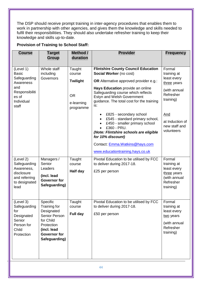The DSP should receive prompt training in inter-agency procedures that enables them to work in partnership with other agencies, and gives them the knowledge and skills needed to fulfil their responsibilities. They should also undertake refresher training to keep their knowledge and skills up-to-date.

#### **Provision of Training to School Staff:**

| <b>Course</b>                                                                                                   | <b>Target</b><br><b>Group</b>                                                                                                             | Method /<br>duration                                                        | <b>Provider</b>                                                                                                                                                                                                                                                                                                                                                                                                                                                                                                                        | <b>Frequency</b>                                                                                                                                              |
|-----------------------------------------------------------------------------------------------------------------|-------------------------------------------------------------------------------------------------------------------------------------------|-----------------------------------------------------------------------------|----------------------------------------------------------------------------------------------------------------------------------------------------------------------------------------------------------------------------------------------------------------------------------------------------------------------------------------------------------------------------------------------------------------------------------------------------------------------------------------------------------------------------------------|---------------------------------------------------------------------------------------------------------------------------------------------------------------|
| (Level 1)<br><b>Basic</b><br>Safeguarding<br>Awareness<br>and<br>Responsibiliti<br>es of<br>Individual<br>staff | Whole staff<br>including<br>Governors                                                                                                     | Taught<br>course<br><b>Twilight</b><br><b>OR</b><br>e-learning<br>programme | <b>Flintshire County Council Education</b><br>Social Worker (no cost)<br><b>OR</b> Alternative approved provider e.g.:<br>Hays Education provide an online<br>Safeguarding course which reflects<br>Estyn and Welsh Government<br>guidance. The total cost for the training<br>is:<br>£825 - secondary school<br>£545 - standard primary school,<br>£450 - smaller primary school<br>£360 - PRU.<br>(Note: Flintshire schools are eligible<br>for 10% discount)<br>Contact: Emma. Watkins@hays.com<br>www.educationtraining.hays.co.uk | Formal<br>training at<br>least every<br>three years<br>(with annual<br>Refresher<br>training)<br><b>And</b><br>at Induction of<br>new staff and<br>volunteers |
| (Level 2)<br>Safeguarding<br>Awareness,<br>disclosure<br>and referring<br>to designated<br>lead                 | Managers /<br>Senior<br>Leaders<br>(incl. lead<br><b>Governor for</b><br>Safeguarding)                                                    | Taught<br>course<br>Half day                                                | Pivotal Education to be utilised by FCC<br>to deliver during 2017-18.<br>£25 per person                                                                                                                                                                                                                                                                                                                                                                                                                                                | Formal<br>training at<br>least every<br>three years<br>(with annual<br>Refresher<br>training)                                                                 |
| (Level 3)<br>Safeguarding<br>for<br>Designated<br>Senior<br>Person for<br>Child<br>Protection                   | Specific<br>Training for<br>Designated<br>Senior Person<br>for Child<br>Protection<br>(incl. lead<br><b>Governor</b> for<br>Safeguarding) | Taught<br>course<br>Full day                                                | Pivotal Education to be utilised by FCC<br>to deliver during 2017-18.<br>£50 per person                                                                                                                                                                                                                                                                                                                                                                                                                                                | Formal<br>training at<br>least every<br>two years<br>(with annual<br>Refresher<br>training)                                                                   |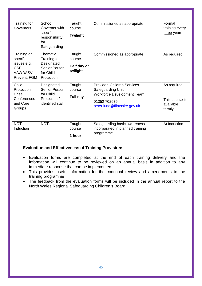| Training for<br>Governors                                                  | School<br>Governor with<br>specific<br>responsibility<br>for<br>Safeguarding       | Taught<br>course<br><b>Twilight</b>         | Commissioned as appropriate                                                                                                                  | Formal<br>training every<br>three years              |
|----------------------------------------------------------------------------|------------------------------------------------------------------------------------|---------------------------------------------|----------------------------------------------------------------------------------------------------------------------------------------------|------------------------------------------------------|
| Training on<br>specific<br>issues e.g.<br>CSE,<br>VAWDASV,<br>Prevent, FGM | Thematic<br>Training for<br>Designated<br>Senior Person<br>for Child<br>Protection | Taught<br>course<br>Half day or<br>twilight | Commissioned as appropriate                                                                                                                  | As required                                          |
| Child<br>Protection<br>Case<br>Conferences<br>and Core<br>Groups           | Designated<br>Senior Person<br>for Child<br>Protection /<br>identified staff       | Taught<br>course<br>Full day                | <b>Provider: Children Services</b><br>Safeguarding Unit<br><b>Workforce Development Team</b><br>01352 702676<br>peter.lund@flintshire.gov.uk | As required<br>This course is<br>available<br>termly |
| NQT's<br>Induction                                                         | NQT's                                                                              | Taught<br>course<br>1 hour                  | Safeguarding basic awareness<br>incorporated in planned training<br>programme                                                                | At Induction                                         |

#### **Evaluation and Effectiveness of Training Provision:**

- Evaluation forms are completed at the end of each training delivery and the information will continue to be reviewed on an annual basis in addition to any immediate response that can be implemented.
- This provides useful information for the continual review and amendments to the training programme
- The feedback from the evaluation forms will be included in the annual report to the North Wales Regional Safeguarding Children's Board.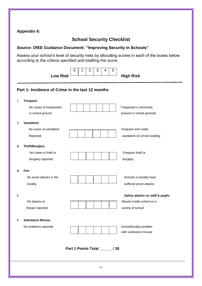| <b>Appendix 6:</b> |  |
|--------------------|--|
|--------------------|--|

## **School Security Checklist**

### **Source: DfEE Guidance Document: "Improving Security in Schools"**

Assess your school's level of security risks by allocating scores in each of the boxes below according to the criteria specified and totalling the score.

|    | <b>Low Risk</b><br>Part 1: Incidence of Crime in the last 12 months |                                  | <b>High Risk</b>                                                                      |
|----|---------------------------------------------------------------------|----------------------------------|---------------------------------------------------------------------------------------|
| 1. | <b>Trespass</b>                                                     |                                  |                                                                                       |
|    | No cases of trespassers<br>in school ground                         |                                  | Trespasser's commonly<br>present in school grounds                                    |
| 2. | Vandalism<br>No cases of vandalism<br>Reported                      |                                  | Frequent and costly<br>vandalism of school building                                   |
| 3. | Theft/Burglary<br>No cases of theft or<br>Burglary reported         |                                  | Frequent theft or<br>burglary                                                         |
| 4. | <b>Fire</b><br>No arson attacks in the<br>locality                  |                                  | Schools in locality have<br>suffered arson attacks                                    |
| 5. | No attacks or<br>threats reported                                   |                                  | Safety attacks on staff & pupils<br>Attacks inside school or in<br>vicinity of school |
| 6. | <b>Substance Misuse</b><br>No problems reported                     |                                  | School/locality problem<br>with substance misuse                                      |
|    |                                                                     | Part 1 Points Total _______ / 30 |                                                                                       |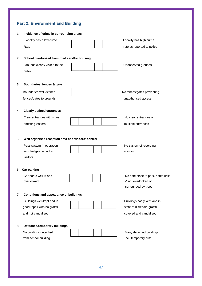## **Part 2: Environment and Building**

| 1. | Incidence of crime in surrounding areas             |                                    |
|----|-----------------------------------------------------|------------------------------------|
|    | Locality has a low crime                            | Locality has high crime            |
|    | Rate                                                | rate as reported to police         |
|    |                                                     |                                    |
| 2. | School overlooked from road sand/or housing         |                                    |
|    | Grounds clearly visible to the                      | Unobserved grounds                 |
|    | public                                              |                                    |
|    |                                                     |                                    |
| 3. | Boundaries, fences & gate                           |                                    |
|    | Boundaries well defined,                            | No fences/gates preventing         |
|    | fences/gates to grounds                             | unauthorised access                |
|    |                                                     |                                    |
| 4. | <b>Clearly defined entrances</b>                    |                                    |
|    | Clear entrances with signs                          | No clear entrances or              |
|    | directing visitors                                  | multiple entrances                 |
|    |                                                     |                                    |
| 5. | Well organised reception area and visitors' control |                                    |
|    | Pass system in operation                            | No system of recording             |
|    | with badges issued to                               | visitors                           |
|    | visitors                                            |                                    |
| 6. | <b>Car parking</b>                                  |                                    |
|    | Car parks well-lit and                              | No safe place to park, parks unlit |
|    | overlooked                                          | & not overlooked or                |
|    |                                                     | surrounded by trees                |
| 7. | <b>Conditions and appearance of buildings</b>       |                                    |
|    | Buildings well-kept and in                          | Buildings badly kept and in        |
|    | good repair with no graffiti                        | state of disrepair, graffiti       |
|    | and not vandalised                                  | covered and vandalised             |
|    |                                                     |                                    |
| 8. | Detached/temporary buildings                        |                                    |
|    | No buildings detached                               | Many detached buildings,           |
|    | from school building                                | incl. temporary huts               |
|    |                                                     |                                    |
|    |                                                     |                                    |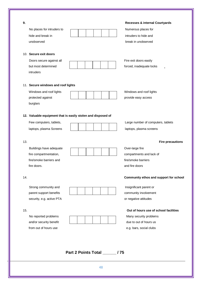| 9.<br>No places for intruders to<br>hide and break in<br>unobserved                                |                                                              | <b>Recesses &amp; internal Courtyards</b><br>Numerous places for<br>intruders to hide and<br>break in unobserved    |
|----------------------------------------------------------------------------------------------------|--------------------------------------------------------------|---------------------------------------------------------------------------------------------------------------------|
| 10. Secure exit doors<br>Doors secure against all<br>but most determined<br>intruders              |                                                              | Fire exit doors easily<br>forced, inadequate locks<br>$\overline{a}$                                                |
| 11. Secure windows and roof lights<br>Windows and roof lights<br>protected against<br>burglars     |                                                              | Windows and roof lights<br>provide easy access                                                                      |
| Few computers, tablets,<br>laptops, plasma Screens                                                 | 12. Valuable equipment that is easily stolen and disposed of | Large number of computers, tablets<br>laptops, plasma screens                                                       |
| 13.<br>Buildings have adequate<br>fire compartmentation,<br>fire/smoke barriers and<br>fire doors. |                                                              | <b>Fire precautions</b><br>Over-large fire<br>compartments and lack of<br>fire/smoke barriers<br>and fire doors     |
| 14.<br>Strong community and<br>parent support benefits<br>security, e.g. active PTA                |                                                              | Community ethos and support for school<br>Insignificant parent or<br>community involvement<br>or negative attitudes |
|                                                                                                    |                                                              |                                                                                                                     |

48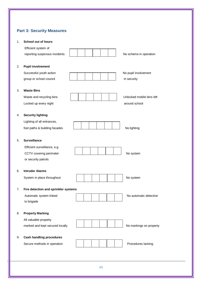## **Part 3: Security Measures**

| 1. | School out of hours                  |                           |
|----|--------------------------------------|---------------------------|
|    | Efficient system of                  |                           |
|    | reporting suspicious incidents       | No scheme in operation    |
|    |                                      |                           |
| 2. | <b>Pupil involvement</b>             |                           |
|    | Successful youth action              | No pupil involvement      |
|    | group or school council              | in security               |
| 3. | <b>Waste Bins</b>                    |                           |
|    | Waste and recycling bins             | Unlocked mobile bins left |
|    | Locked up every night                | around school             |
| 4. | <b>Security lighting</b>             |                           |
|    | Lighting of all entrances,           |                           |
|    | foot paths & building facades        | No lighting               |
|    |                                      |                           |
| 5. | <b>Surveillance</b>                  |                           |
|    | Efficient surveillance, e.g.         |                           |
|    | CCTV covering perimeter              | No system                 |
|    | or security patrols                  |                           |
| 6. | <b>Intruder Alarms</b>               |                           |
|    | System in place throughout           | No system                 |
|    |                                      |                           |
| 7. | Fire detection and sprinkler systems |                           |
|    | Automatic system linked              | No automatic detection    |
|    | to brigade                           |                           |
| 8. | <b>Property Marking</b>              |                           |
|    | All valuable property                |                           |
|    | marked and kept secured locally      | No markings on property   |
|    |                                      |                           |
| 9. | <b>Cash handling procedures</b>      |                           |
|    | Secure methods in operation          | Procedures lacking        |
|    |                                      |                           |
|    |                                      |                           |